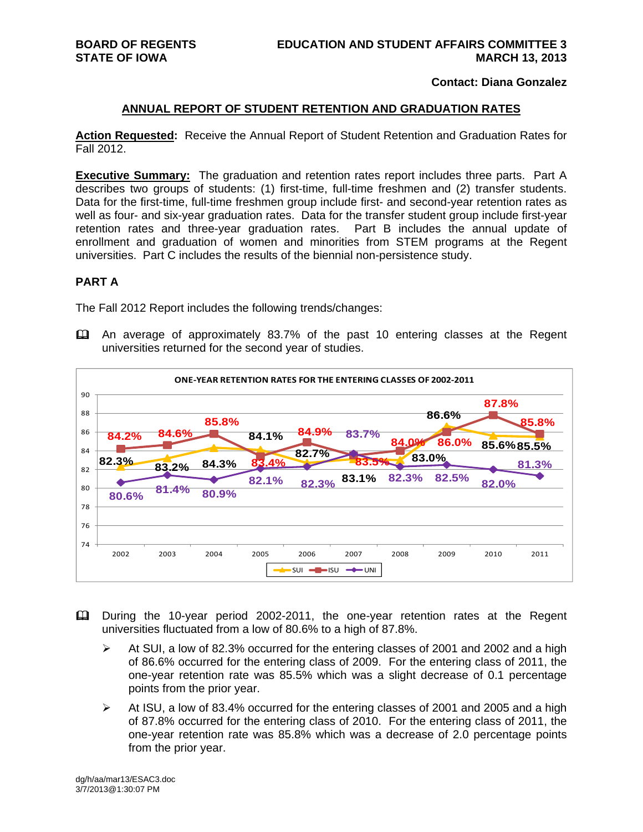#### **Contact: Diana Gonzalez**

### **ANNUAL REPORT OF STUDENT RETENTION AND GRADUATION RATES**

**Action Requested:** Receive the Annual Report of Student Retention and Graduation Rates for Fall 2012.

**Executive Summary:** The graduation and retention rates report includes three parts. Part A describes two groups of students: (1) first-time, full-time freshmen and (2) transfer students. Data for the first-time, full-time freshmen group include first- and second-year retention rates as well as four- and six-year graduation rates. Data for the transfer student group include first-year retention rates and three-year graduation rates. Part B includes the annual update of enrollment and graduation of women and minorities from STEM programs at the Regent universities. Part C includes the results of the biennial non-persistence study.

### **PART A**

The Fall 2012 Report includes the following trends/changes:

 An average of approximately 83.7% of the past 10 entering classes at the Regent universities returned for the second year of studies.



- During the 10-year period 2002-2011, the one-year retention rates at the Regent universities fluctuated from a low of 80.6% to a high of 87.8%.
	- $\triangleright$  At SUI, a low of 82.3% occurred for the entering classes of 2001 and 2002 and a high of 86.6% occurred for the entering class of 2009. For the entering class of 2011, the one-year retention rate was 85.5% which was a slight decrease of 0.1 percentage points from the prior year.
	- $\triangleright$  At ISU, a low of 83.4% occurred for the entering classes of 2001 and 2005 and a high of 87.8% occurred for the entering class of 2010. For the entering class of 2011, the one-year retention rate was 85.8% which was a decrease of 2.0 percentage points from the prior year.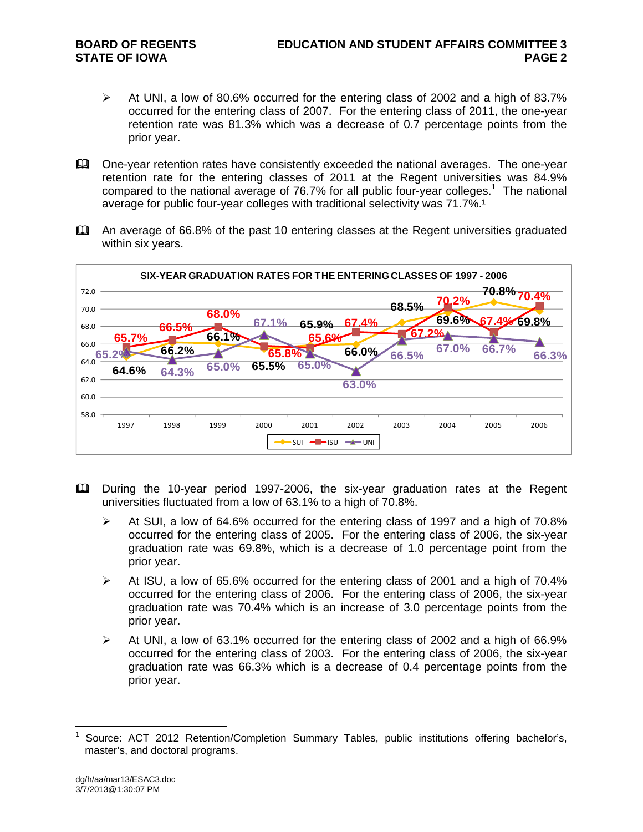- At UNI, a low of 80.6% occurred for the entering class of 2002 and a high of 83.7% occurred for the entering class of 2007. For the entering class of 2011, the one-year retention rate was 81.3% which was a decrease of 0.7 percentage points from the prior year.
- One-year retention rates have consistently exceeded the national averages. The one-year retention rate for the entering classes of 2011 at the Regent universities was 84.9% compared to the national average of 76.7% for all public four-year colleges.<sup>1</sup> The national average for public four-year colleges with traditional selectivity was 71.7%.<sup>1</sup>
- An average of 66.8% of the past 10 entering classes at the Regent universities graduated within six years.



- During the 10-year period 1997-2006, the six-year graduation rates at the Regent universities fluctuated from a low of 63.1% to a high of 70.8%.
	- $\triangleright$  At SUI, a low of 64.6% occurred for the entering class of 1997 and a high of 70.8% occurred for the entering class of 2005. For the entering class of 2006, the six-year graduation rate was 69.8%, which is a decrease of 1.0 percentage point from the prior year.
	- $\triangleright$  At ISU, a low of 65.6% occurred for the entering class of 2001 and a high of 70.4% occurred for the entering class of 2006. For the entering class of 2006, the six-year graduation rate was 70.4% which is an increase of 3.0 percentage points from the prior year.
	- $\triangleright$  At UNI, a low of 63.1% occurred for the entering class of 2002 and a high of 66.9% occurred for the entering class of 2003. For the entering class of 2006, the six-year graduation rate was 66.3% which is a decrease of 0.4 percentage points from the prior year.

 $\overline{a}$ 1 Source: ACT 2012 Retention/Completion Summary Tables, public institutions offering bachelor's, master's, and doctoral programs.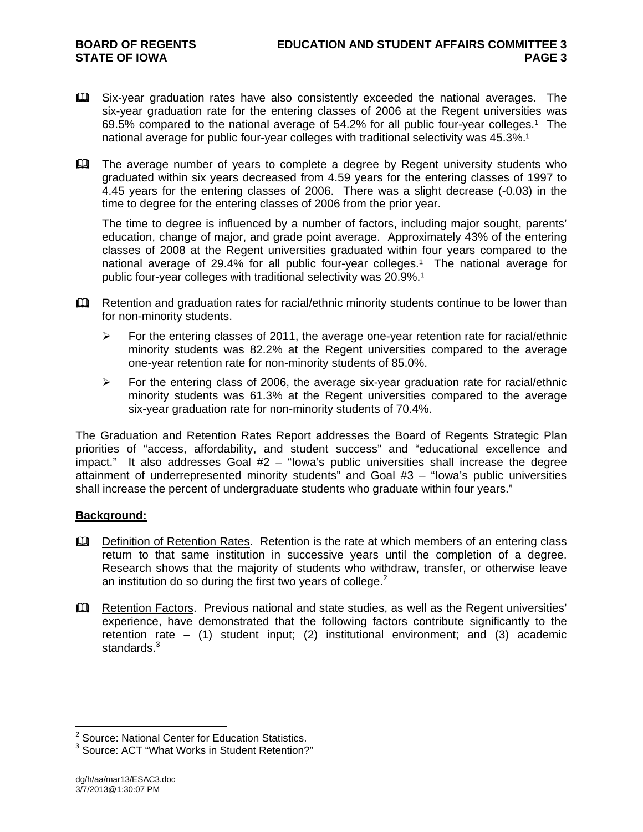- Six-year graduation rates have also consistently exceeded the national averages. The six-year graduation rate for the entering classes of 2006 at the Regent universities was 69.5% compared to the national average of  $54.2\%$  for all public four-year colleges.<sup>1</sup> The national average for public four-year colleges with traditional selectivity was 45.3%.<sup>1</sup>
- The average number of years to complete a degree by Regent university students who graduated within six years decreased from 4.59 years for the entering classes of 1997 to 4.45 years for the entering classes of 2006. There was a slight decrease (-0.03) in the time to degree for the entering classes of 2006 from the prior year.

The time to degree is influenced by a number of factors, including major sought, parents' education, change of major, and grade point average. Approximately 43% of the entering classes of 2008 at the Regent universities graduated within four years compared to the national average of 29.4% for all public four-year colleges.<sup>1</sup> The national average for public four-year colleges with traditional selectivity was 20.9%.<sup>1</sup>

- Retention and graduation rates for racial/ethnic minority students continue to be lower than for non-minority students.
	- $\triangleright$  For the entering classes of 2011, the average one-year retention rate for racial/ethnic minority students was 82.2% at the Regent universities compared to the average one-year retention rate for non-minority students of 85.0%.
	- $\triangleright$  For the entering class of 2006, the average six-year graduation rate for racial/ethnic minority students was 61.3% at the Regent universities compared to the average six-year graduation rate for non-minority students of 70.4%.

The Graduation and Retention Rates Report addresses the Board of Regents Strategic Plan priorities of "access, affordability, and student success" and "educational excellence and impact." It also addresses Goal #2 – "Iowa's public universities shall increase the degree attainment of underrepresented minority students" and Goal #3 – "Iowa's public universities shall increase the percent of undergraduate students who graduate within four years."

# **Background:**

- **Q.** Definition of Retention Rates. Retention is the rate at which members of an entering class return to that same institution in successive years until the completion of a degree. Research shows that the majority of students who withdraw, transfer, or otherwise leave an institution do so during the first two years of college. $<sup>2</sup>$ </sup>
- Retention Factors. Previous national and state studies, as well as the Regent universities' experience, have demonstrated that the following factors contribute significantly to the retention rate – (1) student input; (2) institutional environment; and (3) academic standards.<sup>3</sup>

<sup>&</sup>lt;u>nessen metal</u><br><sup>2</sup> Source: National Center for Education Statistics.

<sup>&</sup>lt;sup>3</sup> Source: ACT "What Works in Student Retention?"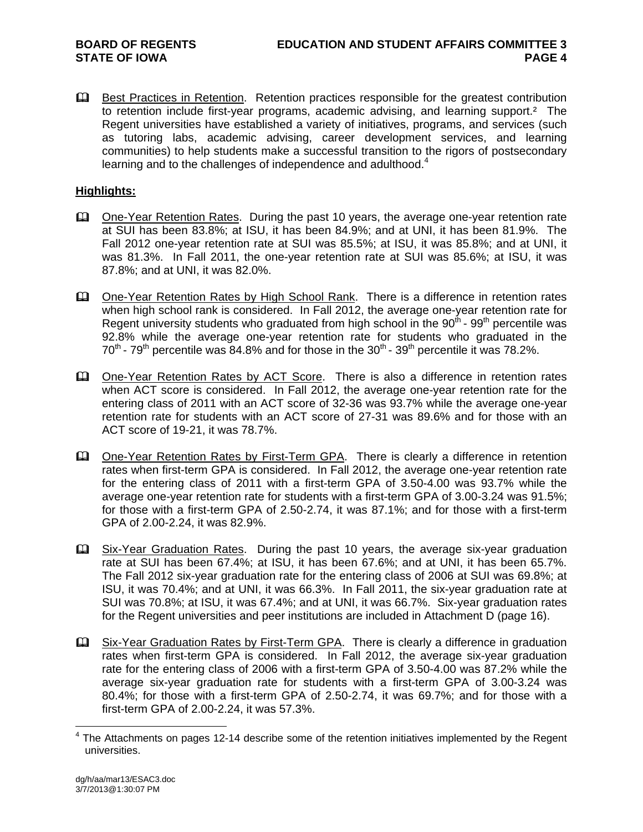**Example 3** Best Practices in Retention. Retention practices responsible for the greatest contribution to retention include first-year programs, academic advising, and learning support.<sup>2</sup> The Regent universities have established a variety of initiatives, programs, and services (such as tutoring labs, academic advising, career development services, and learning communities) to help students make a successful transition to the rigors of postsecondary learning and to the challenges of independence and adulthood. $4$ 

# **Highlights:**

- One-Year Retention Rates. During the past 10 years, the average one-year retention rate at SUI has been 83.8%; at ISU, it has been 84.9%; and at UNI, it has been 81.9%. The Fall 2012 one-year retention rate at SUI was 85.5%; at ISU, it was 85.8%; and at UNI, it was 81.3%. In Fall 2011, the one-year retention rate at SUI was 85.6%; at ISU, it was 87.8%; and at UNI, it was 82.0%.
- One-Year Retention Rates by High School Rank. There is a difference in retention rates when high school rank is considered. In Fall 2012, the average one-year retention rate for Regent university students who graduated from high school in the  $90<sup>th</sup>$  -  $99<sup>th</sup>$  percentile was 92.8% while the average one-year retention rate for students who graduated in the  $70^{th}$  -  $79^{th}$  percentile was 84.8% and for those in the  $30^{th}$  -  $39^{th}$  percentile it was 78.2%.
- **Ell** One-Year Retention Rates by ACT Score. There is also a difference in retention rates when ACT score is considered. In Fall 2012, the average one-year retention rate for the entering class of 2011 with an ACT score of 32-36 was 93.7% while the average one-year retention rate for students with an ACT score of 27-31 was 89.6% and for those with an ACT score of 19-21, it was 78.7%.
- Cone-Year Retention Rates by First-Term GPA. There is clearly a difference in retention rates when first-term GPA is considered. In Fall 2012, the average one-year retention rate for the entering class of 2011 with a first-term GPA of 3.50-4.00 was 93.7% while the average one-year retention rate for students with a first-term GPA of 3.00-3.24 was 91.5%; for those with a first-term GPA of 2.50-2.74, it was 87.1%; and for those with a first-term GPA of 2.00-2.24, it was 82.9%.
- Six-Year Graduation Rates. During the past 10 years, the average six-year graduation rate at SUI has been 67.4%; at ISU, it has been 67.6%; and at UNI, it has been 65.7%. The Fall 2012 six-year graduation rate for the entering class of 2006 at SUI was 69.8%; at ISU, it was 70.4%; and at UNI, it was 66.3%. In Fall 2011, the six-year graduation rate at SUI was 70.8%; at ISU, it was 67.4%; and at UNI, it was 66.7%. Six-year graduation rates for the Regent universities and peer institutions are included in Attachment D (page 16).
- Six-Year Graduation Rates by First-Term GPA. There is clearly a difference in graduation rates when first-term GPA is considered. In Fall 2012, the average six-year graduation rate for the entering class of 2006 with a first-term GPA of 3.50-4.00 was 87.2% while the average six-year graduation rate for students with a first-term GPA of 3.00-3.24 was 80.4%; for those with a first-term GPA of 2.50-2.74, it was 69.7%; and for those with a first-term GPA of 2.00-2.24, it was 57.3%.

 4 The Attachments on pages 12-14 describe some of the retention initiatives implemented by the Regent universities.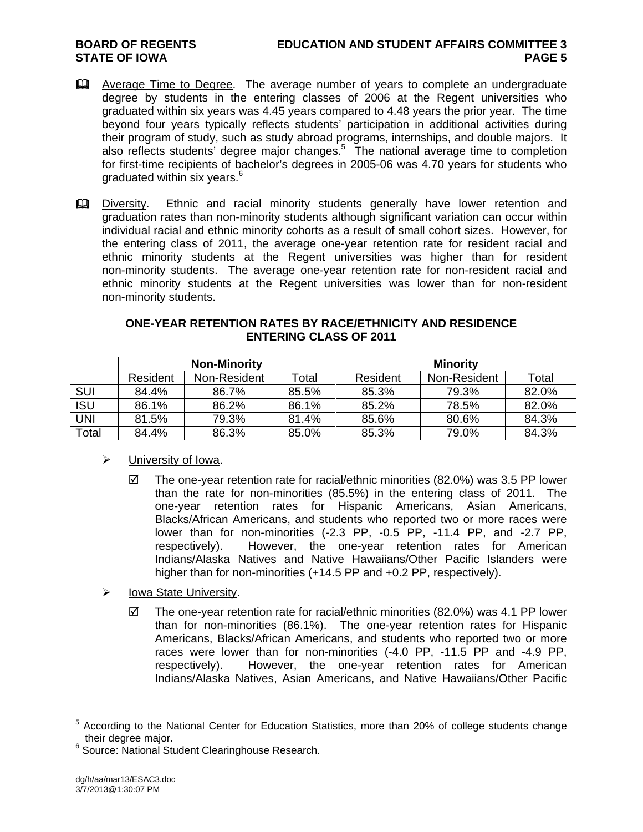### **BOARD OF REGENTS EDUCATION AND STUDENT AFFAIRS COMMITTEE 3 STATE OF IOWA** PAGE 5

- **Average Time to Degree.** The average number of years to complete an undergraduate degree by students in the entering classes of 2006 at the Regent universities who graduated within six years was 4.45 years compared to 4.48 years the prior year. The time beyond four years typically reflects students' participation in additional activities during their program of study, such as study abroad programs, internships, and double majors. It also reflects students' degree major changes.<sup>5</sup> The national average time to completion for first-time recipients of bachelor's degrees in 2005-06 was 4.70 years for students who graduated within six years.<sup>6</sup>
- Diversity. Ethnic and racial minority students generally have lower retention and graduation rates than non-minority students although significant variation can occur within individual racial and ethnic minority cohorts as a result of small cohort sizes. However, for the entering class of 2011, the average one-year retention rate for resident racial and ethnic minority students at the Regent universities was higher than for resident non-minority students. The average one-year retention rate for non-resident racial and ethnic minority students at the Regent universities was lower than for non-resident non-minority students.

| <b>ONE-YEAR RETENTION RATES BY RACE/ETHNICITY AND RESIDENCE</b> |
|-----------------------------------------------------------------|
| <b>ENTERING CLASS OF 2011</b>                                   |

|            | <b>Non-Minority</b> |              |       | <b>Minority</b> |              |       |  |
|------------|---------------------|--------------|-------|-----------------|--------------|-------|--|
|            | Resident            | Non-Resident | Total | Resident        | Non-Resident | Total |  |
| <b>SUI</b> | 84.4%               | 86.7%        | 85.5% | 85.3%           | 79.3%        | 82.0% |  |
| <b>ISU</b> | 86.1%               | 86.2%        | 86.1% | 85.2%           | 78.5%        | 82.0% |  |
| <b>UNI</b> | 81.5%               | 79.3%        | 81.4% | 85.6%           | 80.6%        | 84.3% |  |
| Total      | 84.4%               | 86.3%        | 85.0% | 85.3%           | 79.0%        | 84.3% |  |

# University of Iowa.

- $\boxtimes$  The one-year retention rate for racial/ethnic minorities (82.0%) was 3.5 PP lower than the rate for non-minorities (85.5%) in the entering class of 2011. The one-year retention rates for Hispanic Americans, Asian Americans, Blacks/African Americans, and students who reported two or more races were lower than for non-minorities (-2.3 PP, -0.5 PP, -11.4 PP, and -2.7 PP, respectively). However, the one-year retention rates for American Indians/Alaska Natives and Native Hawaiians/Other Pacific Islanders were higher than for non-minorities (+14.5 PP and +0.2 PP, respectively).
- $\triangleright$  Iowa State University.
	- $\boxtimes$  The one-year retention rate for racial/ethnic minorities (82.0%) was 4.1 PP lower than for non-minorities (86.1%). The one-year retention rates for Hispanic Americans, Blacks/African Americans, and students who reported two or more races were lower than for non-minorities (-4.0 PP, -11.5 PP and -4.9 PP, respectively). However, the one-year retention rates for American Indians/Alaska Natives, Asian Americans, and Native Hawaiians/Other Pacific

<sup>&</sup>lt;sup>5</sup> According to the National Center for Education Statistics, more than 20% of college students change their degree major. 6

<sup>&</sup>lt;sup>6</sup> Source: National Student Clearinghouse Research.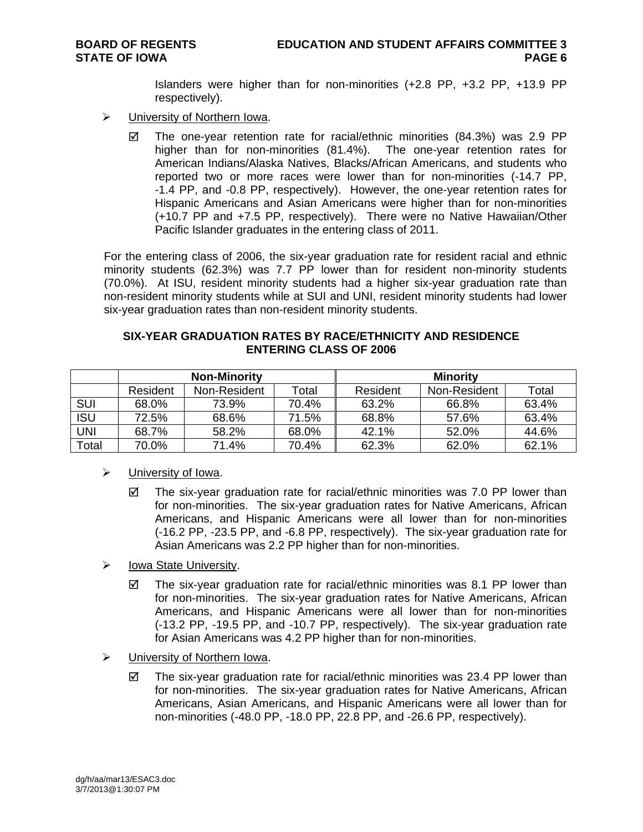Islanders were higher than for non-minorities (+2.8 PP, +3.2 PP, +13.9 PP respectively).

- University of Northern Iowa.
	- $\boxtimes$  The one-year retention rate for racial/ethnic minorities (84.3%) was 2.9 PP higher than for non-minorities (81.4%). The one-year retention rates for American Indians/Alaska Natives, Blacks/African Americans, and students who reported two or more races were lower than for non-minorities (-14.7 PP, -1.4 PP, and -0.8 PP, respectively). However, the one-year retention rates for Hispanic Americans and Asian Americans were higher than for non-minorities (+10.7 PP and +7.5 PP, respectively). There were no Native Hawaiian/Other Pacific Islander graduates in the entering class of 2011.

For the entering class of 2006, the six-year graduation rate for resident racial and ethnic minority students (62.3%) was 7.7 PP lower than for resident non-minority students (70.0%). At ISU, resident minority students had a higher six-year graduation rate than non-resident minority students while at SUI and UNI, resident minority students had lower six-year graduation rates than non-resident minority students.

# **SIX-YEAR GRADUATION RATES BY RACE/ETHNICITY AND RESIDENCE ENTERING CLASS OF 2006**

|            | <b>Non-Minority</b> |              |       | <b>Minority</b> |              |       |  |
|------------|---------------------|--------------|-------|-----------------|--------------|-------|--|
|            | Resident            | Non-Resident | Total | Resident        | Non-Resident | Total |  |
| <b>SUI</b> | 68.0%               | 73.9%        | 70.4% | 63.2%           | 66.8%        | 63.4% |  |
| <b>ISU</b> | 72.5%               | 68.6%        | 71.5% | 68.8%           | 57.6%        | 63.4% |  |
| <b>UNI</b> | 68.7%               | 58.2%        | 68.0% | 42.1%           | 52.0%        | 44.6% |  |
| Total      | 70.0%               | 71.4%        | 70.4% | 62.3%           | 62.0%        | 62.1% |  |

- $\triangleright$  University of Iowa.
	- $\boxtimes$  The six-year graduation rate for racial/ethnic minorities was 7.0 PP lower than for non-minorities. The six-year graduation rates for Native Americans, African Americans, and Hispanic Americans were all lower than for non-minorities (-16.2 PP, -23.5 PP, and -6.8 PP, respectively). The six-year graduation rate for Asian Americans was 2.2 PP higher than for non-minorities.
- $\triangleright$  Iowa State University.
	- $\boxtimes$  The six-year graduation rate for racial/ethnic minorities was 8.1 PP lower than for non-minorities. The six-year graduation rates for Native Americans, African Americans, and Hispanic Americans were all lower than for non-minorities (-13.2 PP, -19.5 PP, and -10.7 PP, respectively). The six-year graduation rate for Asian Americans was 4.2 PP higher than for non-minorities.
- > University of Northern Iowa.
	- $\boxtimes$  The six-year graduation rate for racial/ethnic minorities was 23.4 PP lower than for non-minorities. The six-year graduation rates for Native Americans, African Americans, Asian Americans, and Hispanic Americans were all lower than for non-minorities (-48.0 PP, -18.0 PP, 22.8 PP, and -26.6 PP, respectively).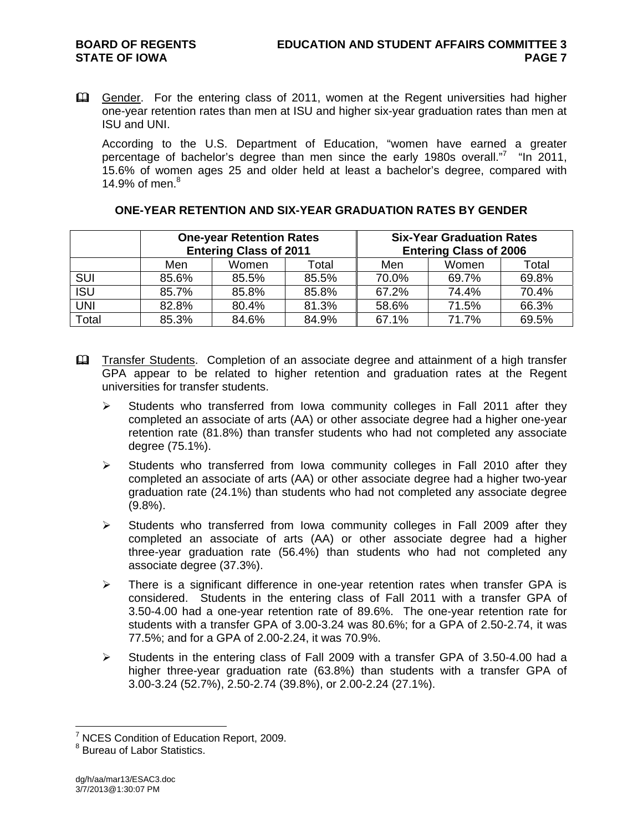Gender. For the entering class of 2011, women at the Regent universities had higher one-year retention rates than men at ISU and higher six-year graduation rates than men at ISU and UNI.

According to the U.S. Department of Education, "women have earned a greater percentage of bachelor's degree than men since the early 1980s overall."<sup>7</sup> "In 2011, 15.6% of women ages 25 and older held at least a bachelor's degree, compared with 14.9% of men. $8$ 

|            | <b>One-year Retention Rates</b><br><b>Entering Class of 2011</b> |       |       | <b>Six-Year Graduation Rates</b><br><b>Entering Class of 2006</b> |       |       |  |
|------------|------------------------------------------------------------------|-------|-------|-------------------------------------------------------------------|-------|-------|--|
|            | Men                                                              | Women | Total | Men                                                               | Women | Total |  |
| <b>SUI</b> | 85.6%                                                            | 85.5% | 85.5% | 70.0%                                                             | 69.7% | 69.8% |  |
| <b>ISU</b> | 85.7%                                                            | 85.8% | 85.8% | 67.2%                                                             | 74.4% | 70.4% |  |
| UNI        | 82.8%                                                            | 80.4% | 81.3% | 58.6%                                                             | 71.5% | 66.3% |  |
| Total      | 85.3%                                                            | 84.6% | 84.9% | 67.1%                                                             | 71.7% | 69.5% |  |

# **ONE-YEAR RETENTION AND SIX-YEAR GRADUATION RATES BY GENDER**

- **Example 1** Transfer Students. Completion of an associate degree and attainment of a high transfer GPA appear to be related to higher retention and graduation rates at the Regent universities for transfer students.
	- $\triangleright$  Students who transferred from Iowa community colleges in Fall 2011 after they completed an associate of arts (AA) or other associate degree had a higher one-year retention rate (81.8%) than transfer students who had not completed any associate degree (75.1%).
	- $\triangleright$  Students who transferred from Iowa community colleges in Fall 2010 after they completed an associate of arts (AA) or other associate degree had a higher two-year graduation rate (24.1%) than students who had not completed any associate degree (9.8%).
	- $\triangleright$  Students who transferred from Iowa community colleges in Fall 2009 after they completed an associate of arts (AA) or other associate degree had a higher three-year graduation rate (56.4%) than students who had not completed any associate degree (37.3%).
	- $\triangleright$  There is a significant difference in one-year retention rates when transfer GPA is considered. Students in the entering class of Fall 2011 with a transfer GPA of 3.50-4.00 had a one-year retention rate of 89.6%. The one-year retention rate for students with a transfer GPA of 3.00-3.24 was 80.6%; for a GPA of 2.50-2.74, it was 77.5%; and for a GPA of 2.00-2.24, it was 70.9%.
	- $\triangleright$  Students in the entering class of Fall 2009 with a transfer GPA of 3.50-4.00 had a higher three-year graduation rate (63.8%) than students with a transfer GPA of 3.00-3.24 (52.7%), 2.50-2.74 (39.8%), or 2.00-2.24 (27.1%).

<sup>&</sup>lt;sup>7</sup> NCES Condition of Education Report, 2009.

<sup>&</sup>lt;sup>8</sup> Bureau of Labor Statistics.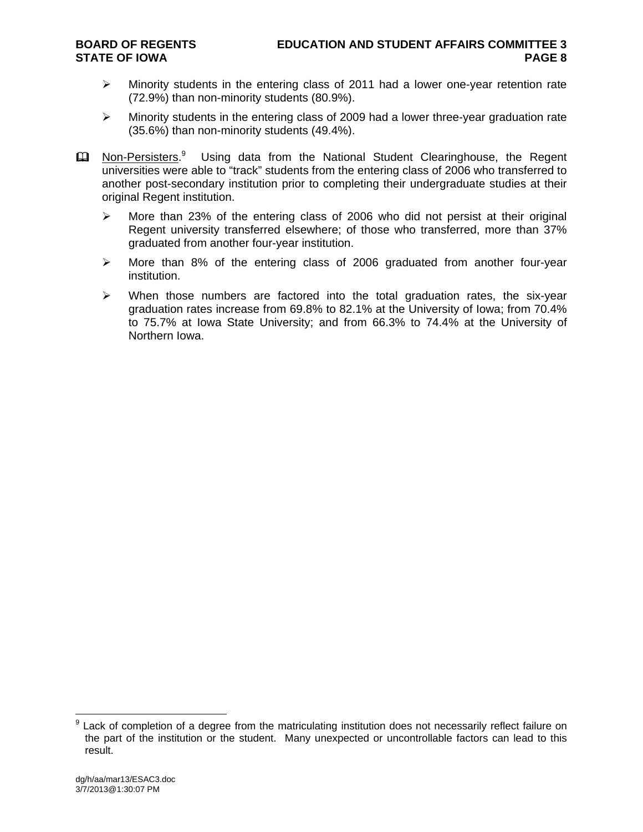- $\triangleright$  Minority students in the entering class of 2011 had a lower one-year retention rate (72.9%) than non-minority students (80.9%).
- $\triangleright$  Minority students in the entering class of 2009 had a lower three-year graduation rate (35.6%) than non-minority students (49.4%).
- **Ell** Non-Persisters.<sup>9</sup> Using data from the National Student Clearinghouse, the Regent universities were able to "track" students from the entering class of 2006 who transferred to another post-secondary institution prior to completing their undergraduate studies at their original Regent institution.
	- $\triangleright$  More than 23% of the entering class of 2006 who did not persist at their original Regent university transferred elsewhere; of those who transferred, more than 37% graduated from another four-year institution.
	- $\triangleright$  More than 8% of the entering class of 2006 graduated from another four-year institution.
	- $\triangleright$  When those numbers are factored into the total graduation rates, the six-year graduation rates increase from 69.8% to 82.1% at the University of Iowa; from 70.4% to 75.7% at Iowa State University; and from 66.3% to 74.4% at the University of Northern Iowa.

<sup>&</sup>lt;sup>9</sup> Lack of completion of a degree from the matriculating institution does not necessarily reflect failure on the part of the institution or the student. Many unexpected or uncontrollable factors can lead to this result.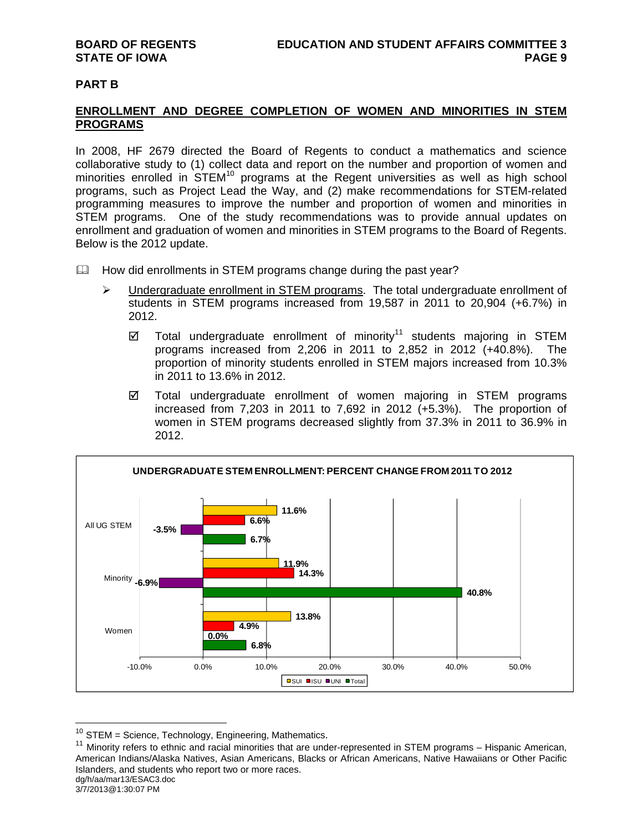### **PART B**

# **ENROLLMENT AND DEGREE COMPLETION OF WOMEN AND MINORITIES IN STEM PROGRAMS**

In 2008, HF 2679 directed the Board of Regents to conduct a mathematics and science collaborative study to (1) collect data and report on the number and proportion of women and minorities enrolled in STEM<sup>10</sup> programs at the Regent universities as well as high school programs, such as Project Lead the Way, and (2) make recommendations for STEM-related programming measures to improve the number and proportion of women and minorities in STEM programs. One of the study recommendations was to provide annual updates on enrollment and graduation of women and minorities in STEM programs to the Board of Regents. Below is the 2012 update.

- $\Box$  How did enrollments in STEM programs change during the past year?
	- $\triangleright$  Undergraduate enrollment in STEM programs. The total undergraduate enrollment of students in STEM programs increased from 19,587 in 2011 to 20,904 (+6.7%) in 2012.
		- $\boxtimes$  Total undergraduate enrollment of minority<sup>11</sup> students majoring in STEM programs increased from 2,206 in 2011 to 2,852 in 2012 (+40.8%). The proportion of minority students enrolled in STEM majors increased from 10.3% in 2011 to 13.6% in 2012.
		- Total undergraduate enrollment of women majoring in STEM programs increased from 7,203 in 2011 to 7,692 in 2012 (+5.3%). The proportion of women in STEM programs decreased slightly from 37.3% in 2011 to 36.9% in 2012.



 $10$  STEM = Science, Technology, Engineering, Mathematics.

dg/h/aa/mar13/ESAC3.doc <sup>11</sup> Minority refers to ethnic and racial minorities that are under-represented in STEM programs – Hispanic American, American Indians/Alaska Natives, Asian Americans, Blacks or African Americans, Native Hawaiians or Other Pacific Islanders, and students who report two or more races.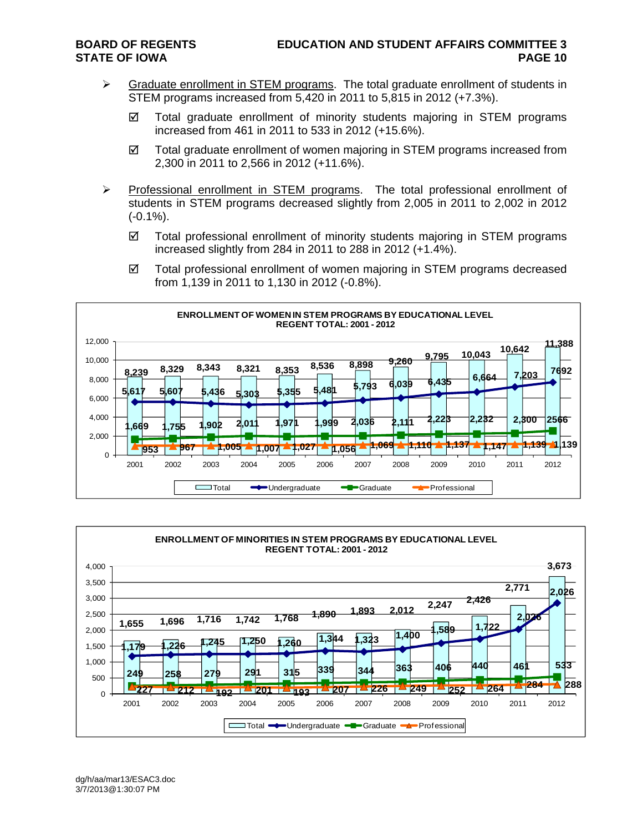- $\triangleright$  Graduate enrollment in STEM programs. The total graduate enrollment of students in STEM programs increased from 5,420 in 2011 to 5,815 in 2012 (+7.3%).
	- $\boxtimes$  Total graduate enrollment of minority students majoring in STEM programs increased from 461 in 2011 to 533 in 2012 (+15.6%).
	- Total graduate enrollment of women majoring in STEM programs increased from 2,300 in 2011 to 2,566 in 2012 (+11.6%).
- Professional enrollment in STEM programs. The total professional enrollment of students in STEM programs decreased slightly from 2,005 in 2011 to 2,002 in 2012  $(-0.1\%)$ .
	- Total professional enrollment of minority students majoring in STEM programs increased slightly from 284 in 2011 to 288 in 2012 (+1.4%).





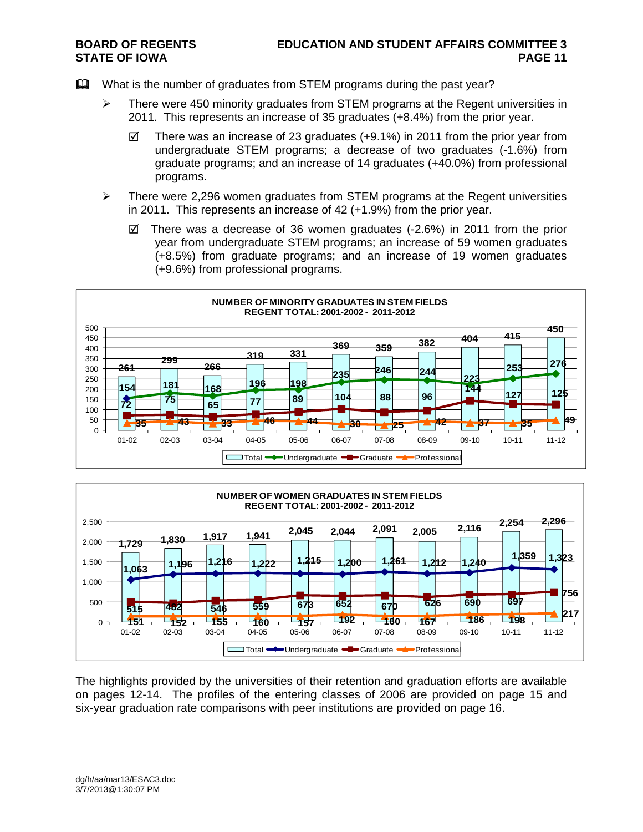$\mathbb{H}$  What is the number of graduates from STEM programs during the past year?

- $\triangleright$  There were 450 minority graduates from STEM programs at the Regent universities in 2011. This represents an increase of 35 graduates (+8.4%) from the prior year.
	- $\boxtimes$  There was an increase of 23 graduates (+9.1%) in 2011 from the prior year from undergraduate STEM programs; a decrease of two graduates (-1.6%) from graduate programs; and an increase of 14 graduates (+40.0%) from professional programs.
- $\triangleright$  There were 2,296 women graduates from STEM programs at the Regent universities in 2011. This represents an increase of 42 (+1.9%) from the prior year.
	- $\boxtimes$  There was a decrease of 36 women graduates (-2.6%) in 2011 from the prior year from undergraduate STEM programs; an increase of 59 women graduates (+8.5%) from graduate programs; and an increase of 19 women graduates (+9.6%) from professional programs.





The highlights provided by the universities of their retention and graduation efforts are available on pages 12-14. The profiles of the entering classes of 2006 are provided on page 15 and six-year graduation rate comparisons with peer institutions are provided on page 16.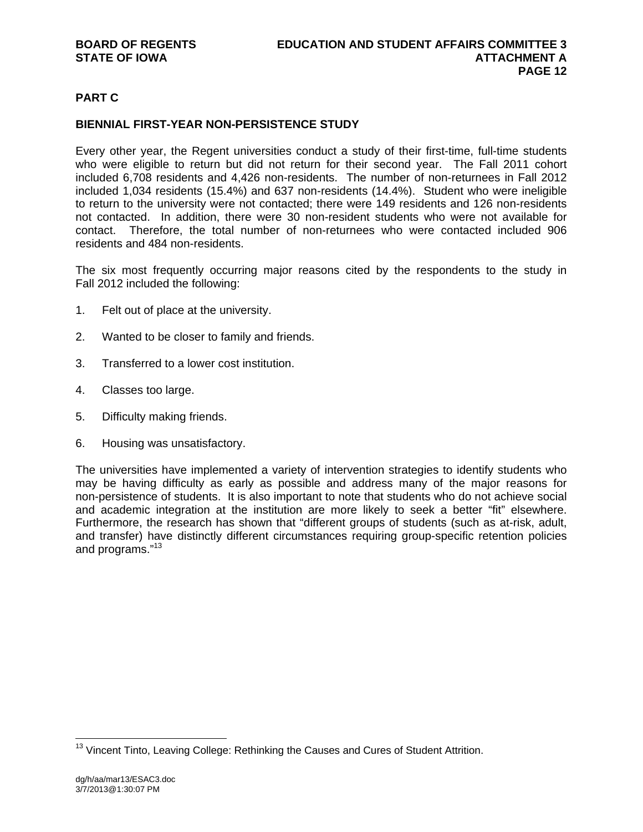# **PART C**

# **BIENNIAL FIRST-YEAR NON-PERSISTENCE STUDY**

Every other year, the Regent universities conduct a study of their first-time, full-time students who were eligible to return but did not return for their second year. The Fall 2011 cohort included 6,708 residents and 4,426 non-residents. The number of non-returnees in Fall 2012 included 1,034 residents (15.4%) and 637 non-residents (14.4%). Student who were ineligible to return to the university were not contacted; there were 149 residents and 126 non-residents not contacted. In addition, there were 30 non-resident students who were not available for contact. Therefore, the total number of non-returnees who were contacted included 906 residents and 484 non-residents.

The six most frequently occurring major reasons cited by the respondents to the study in Fall 2012 included the following:

- 1. Felt out of place at the university.
- 2. Wanted to be closer to family and friends.
- 3. Transferred to a lower cost institution.
- 4. Classes too large.
- 5. Difficulty making friends.
- 6. Housing was unsatisfactory.

The universities have implemented a variety of intervention strategies to identify students who may be having difficulty as early as possible and address many of the major reasons for non-persistence of students. It is also important to note that students who do not achieve social and academic integration at the institution are more likely to seek a better "fit" elsewhere. Furthermore, the research has shown that "different groups of students (such as at-risk, adult, and transfer) have distinctly different circumstances requiring group-specific retention policies and programs."<sup>13</sup>

 $13$  Vincent Tinto, Leaving College: Rethinking the Causes and Cures of Student Attrition.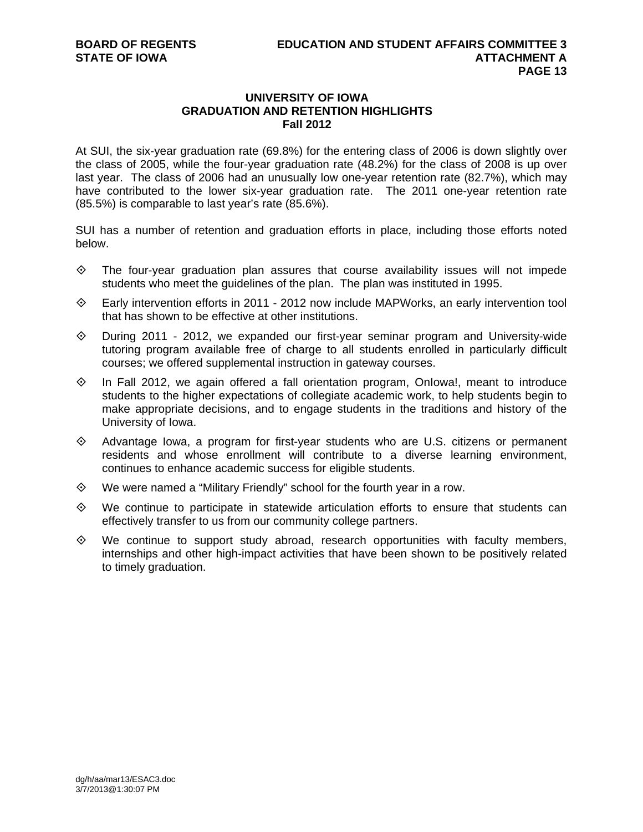# **UNIVERSITY OF IOWA GRADUATION AND RETENTION HIGHLIGHTS Fall 2012**

At SUI, the six-year graduation rate (69.8%) for the entering class of 2006 is down slightly over the class of 2005, while the four-year graduation rate (48.2%) for the class of 2008 is up over last year. The class of 2006 had an unusually low one-year retention rate (82.7%), which may have contributed to the lower six-year graduation rate. The 2011 one-year retention rate (85.5%) is comparable to last year's rate (85.6%).

SUI has a number of retention and graduation efforts in place, including those efforts noted below.

- $\diamond$  The four-year graduation plan assures that course availability issues will not impede students who meet the guidelines of the plan. The plan was instituted in 1995.
- $\Diamond$  Early intervention efforts in 2011 2012 now include MAPWorks, an early intervention tool that has shown to be effective at other institutions.
- $\diamond$  During 2011 2012, we expanded our first-year seminar program and University-wide tutoring program available free of charge to all students enrolled in particularly difficult courses; we offered supplemental instruction in gateway courses.
- $\diamond$  In Fall 2012, we again offered a fall orientation program, Onlowa!, meant to introduce students to the higher expectations of collegiate academic work, to help students begin to make appropriate decisions, and to engage students in the traditions and history of the University of Iowa.
- $\diamond$  Advantage Iowa, a program for first-year students who are U.S. citizens or permanent residents and whose enrollment will contribute to a diverse learning environment, continues to enhance academic success for eligible students.
- $\Diamond$  We were named a "Military Friendly" school for the fourth year in a row.
- $\diamond$  We continue to participate in statewide articulation efforts to ensure that students can effectively transfer to us from our community college partners.
- $\diamond$  We continue to support study abroad, research opportunities with faculty members, internships and other high-impact activities that have been shown to be positively related to timely graduation.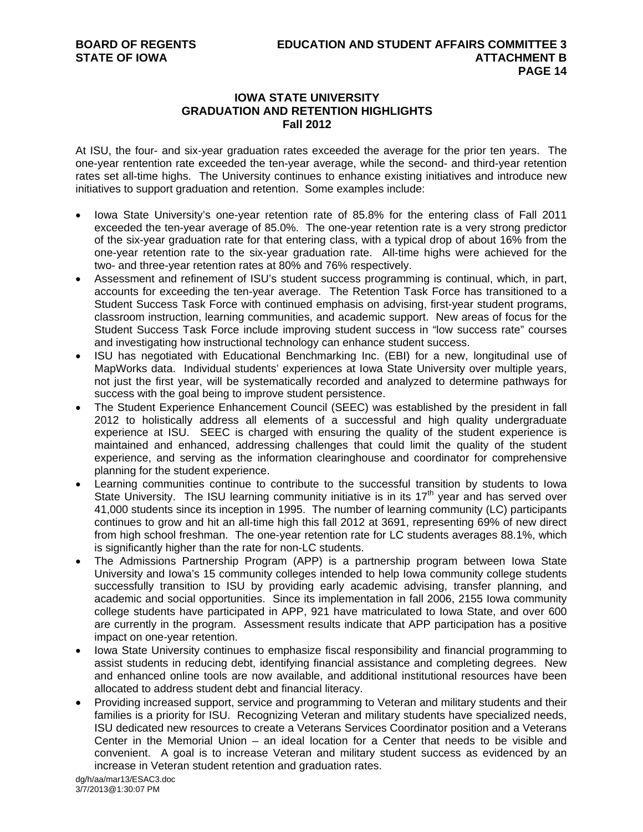# **IOWA STATE UNIVERSITY GRADUATION AND RETENTION HIGHLIGHTS Fall 2012**

At ISU, the four- and six-year graduation rates exceeded the average for the prior ten years. The one-year rentention rate exceeded the ten-year average, while the second- and third-year retention rates set all-time highs. The University continues to enhance existing initiatives and introduce new initiatives to support graduation and retention. Some examples include:

- Iowa State University's one-year retention rate of 85.8% for the entering class of Fall 2011 exceeded the ten-year average of 85.0%. The one-year retention rate is a very strong predictor of the six-year graduation rate for that entering class, with a typical drop of about 16% from the one-year retention rate to the six-year graduation rate. All-time highs were achieved for the two- and three-year retention rates at 80% and 76% respectively.
- Assessment and refinement of ISU's student success programming is continual, which, in part, accounts for exceeding the ten-year average. The Retention Task Force has transitioned to a Student Success Task Force with continued emphasis on advising, first-year student programs, classroom instruction, learning communities, and academic support. New areas of focus for the Student Success Task Force include improving student success in "low success rate" courses and investigating how instructional technology can enhance student success.
- ISU has negotiated with Educational Benchmarking Inc. (EBI) for a new, longitudinal use of MapWorks data. Individual students' experiences at Iowa State University over multiple years, not just the first year, will be systematically recorded and analyzed to determine pathways for success with the goal being to improve student persistence.
- The Student Experience Enhancement Council (SEEC) was established by the president in fall 2012 to holistically address all elements of a successful and high quality undergraduate experience at ISU. SEEC is charged with ensuring the quality of the student experience is maintained and enhanced, addressing challenges that could limit the quality of the student experience, and serving as the information clearinghouse and coordinator for comprehensive planning for the student experience.
- Learning communities continue to contribute to the successful transition by students to Iowa State University. The ISU learning community initiative is in its  $17<sup>th</sup>$  year and has served over 41,000 students since its inception in 1995. The number of learning community (LC) participants continues to grow and hit an all-time high this fall 2012 at 3691, representing 69% of new direct from high school freshman. The one-year retention rate for LC students averages 88.1%, which is significantly higher than the rate for non-LC students.
- The Admissions Partnership Program (APP) is a partnership program between Iowa State University and Iowa's 15 community colleges intended to help Iowa community college students successfully transition to ISU by providing early academic advising, transfer planning, and academic and social opportunities. Since its implementation in fall 2006, 2155 Iowa community college students have participated in APP, 921 have matriculated to Iowa State, and over 600 are currently in the program. Assessment results indicate that APP participation has a positive impact on one-year retention.
- Iowa State University continues to emphasize fiscal responsibility and financial programming to assist students in reducing debt, identifying financial assistance and completing degrees. New and enhanced online tools are now available, and additional institutional resources have been allocated to address student debt and financial literacy.
- Providing increased support, service and programming to Veteran and military students and their families is a priority for ISU. Recognizing Veteran and military students have specialized needs, ISU dedicated new resources to create a Veterans Services Coordinator position and a Veterans Center in the Memorial Union – an ideal location for a Center that needs to be visible and convenient. A goal is to increase Veteran and military student success as evidenced by an increase in Veteran student retention and graduation rates.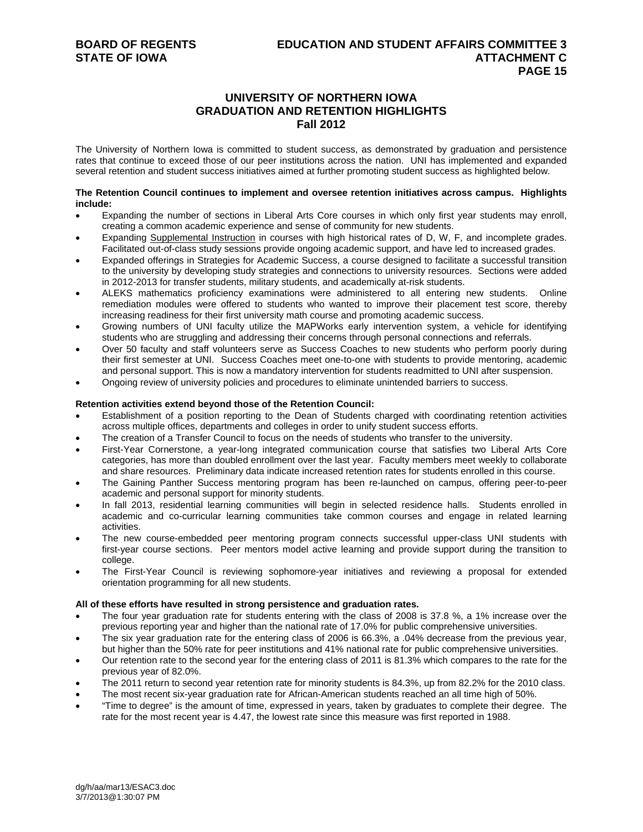# **UNIVERSITY OF NORTHERN IOWA GRADUATION AND RETENTION HIGHLIGHTS Fall 2012**

The University of Northern Iowa is committed to student success, as demonstrated by graduation and persistence rates that continue to exceed those of our peer institutions across the nation. UNI has implemented and expanded several retention and student success initiatives aimed at further promoting student success as highlighted below.

#### **The Retention Council continues to implement and oversee retention initiatives across campus. Highlights include:**

- Expanding the number of sections in Liberal Arts Core courses in which only first year students may enroll, creating a common academic experience and sense of community for new students.
- Expanding Supplemental Instruction in courses with high historical rates of D, W, F, and incomplete grades. Facilitated out-of-class study sessions provide ongoing academic support, and have led to increased grades.
- Expanded offerings in Strategies for Academic Success, a course designed to facilitate a successful transition to the university by developing study strategies and connections to university resources. Sections were added in 2012-2013 for transfer students, military students, and academically at-risk students.
- ALEKS mathematics proficiency examinations were administered to all entering new students. Online remediation modules were offered to students who wanted to improve their placement test score, thereby increasing readiness for their first university math course and promoting academic success.
- Growing numbers of UNI faculty utilize the MAPWorks early intervention system, a vehicle for identifying students who are struggling and addressing their concerns through personal connections and referrals.
- Over 50 faculty and staff volunteers serve as Success Coaches to new students who perform poorly during their first semester at UNI. Success Coaches meet one-to-one with students to provide mentoring, academic and personal support. This is now a mandatory intervention for students readmitted to UNI after suspension.
- Ongoing review of university policies and procedures to eliminate unintended barriers to success.

#### **Retention activities extend beyond those of the Retention Council:**

- Establishment of a position reporting to the Dean of Students charged with coordinating retention activities across multiple offices, departments and colleges in order to unify student success efforts.
- The creation of a Transfer Council to focus on the needs of students who transfer to the university.
- First-Year Cornerstone, a year-long integrated communication course that satisfies two Liberal Arts Core categories, has more than doubled enrollment over the last year. Faculty members meet weekly to collaborate and share resources. Preliminary data indicate increased retention rates for students enrolled in this course.
- The Gaining Panther Success mentoring program has been re-launched on campus, offering peer-to-peer academic and personal support for minority students.
- In fall 2013, residential learning communities will begin in selected residence halls. Students enrolled in academic and co-curricular learning communities take common courses and engage in related learning activities.
- The new course-embedded peer mentoring program connects successful upper-class UNI students with first-year course sections. Peer mentors model active learning and provide support during the transition to college.
- The First-Year Council is reviewing sophomore-year initiatives and reviewing a proposal for extended orientation programming for all new students.

#### **All of these efforts have resulted in strong persistence and graduation rates.**

- The four year graduation rate for students entering with the class of 2008 is 37.8 %, a 1% increase over the previous reporting year and higher than the national rate of 17.0% for public comprehensive universities.
- The six year graduation rate for the entering class of 2006 is 66.3%, a .04% decrease from the previous year, but higher than the 50% rate for peer institutions and 41% national rate for public comprehensive universities.
- Our retention rate to the second year for the entering class of 2011 is 81.3% which compares to the rate for the previous year of 82.0%.
- The 2011 return to second year retention rate for minority students is 84.3%, up from 82.2% for the 2010 class.
- The most recent six-year graduation rate for African-American students reached an all time high of 50%.
- "Time to degree" is the amount of time, expressed in years, taken by graduates to complete their degree. The rate for the most recent year is 4.47, the lowest rate since this measure was first reported in 1988.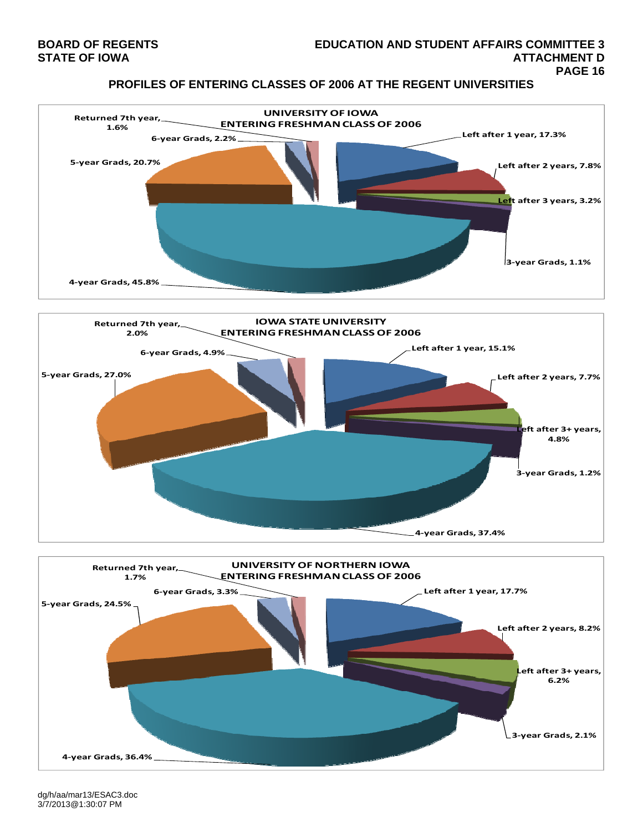# **PROFILES OF ENTERING CLASSES OF 2006 AT THE REGENT UNIVERSITIES**







dg/h/aa/mar13/ESAC3.doc 3/7/2013@1:30:07 PM